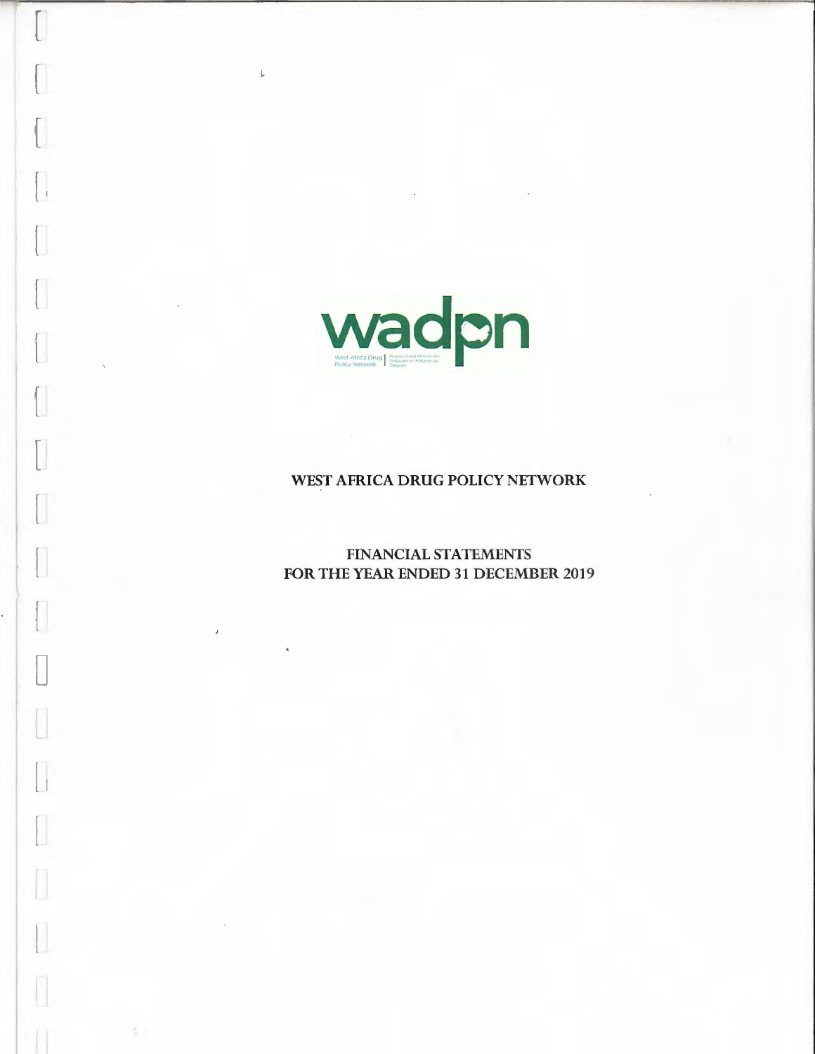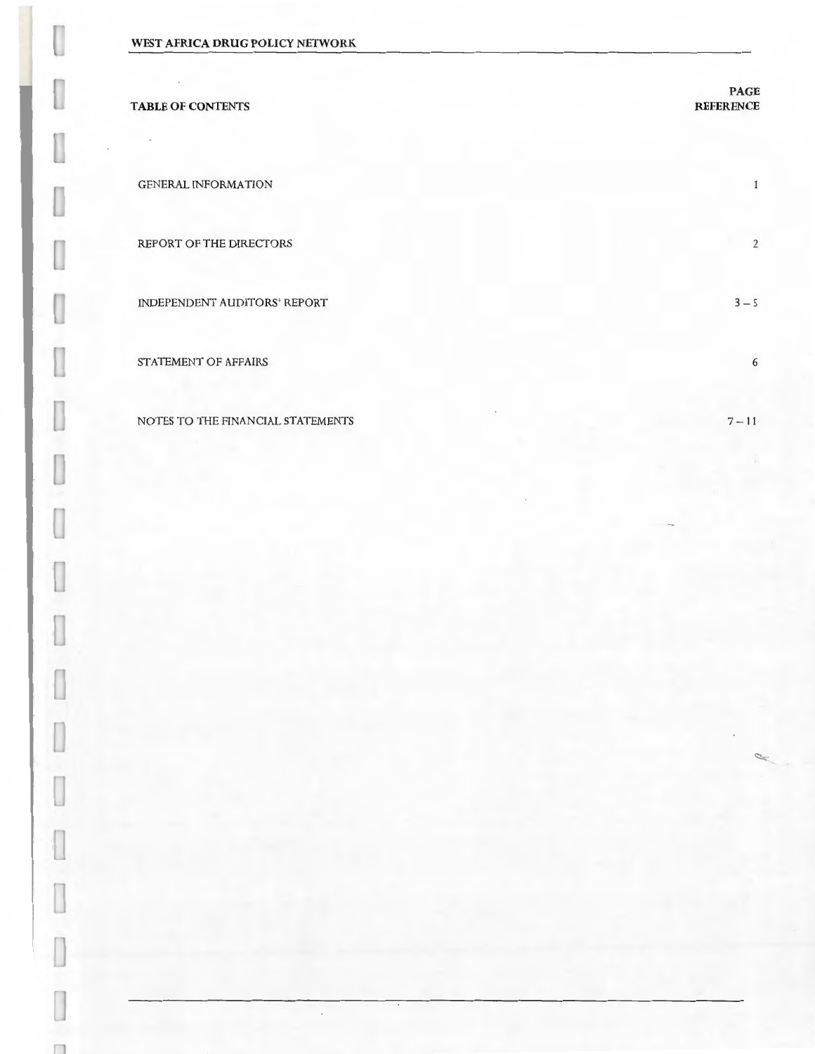n

| <b>TABLE OF CONTENTS</b>          | <b>PAGE</b><br><b>REFERENCE</b> |
|-----------------------------------|---------------------------------|
| <b>GENERAL INFORMATION</b>        | 1                               |
| REPORT OF THE DIRECTORS           | $\overline{2}$                  |
| INDEPENDENT AUDITORS' REPORT      | $3 - 5$                         |
| STATEMENT OF AFFAIRS              | 6                               |
| NOTES TO THE FINANCIAL STATEMENTS | $7 - 11$                        |

 $\cdot$ 

 $~\sim$   $~$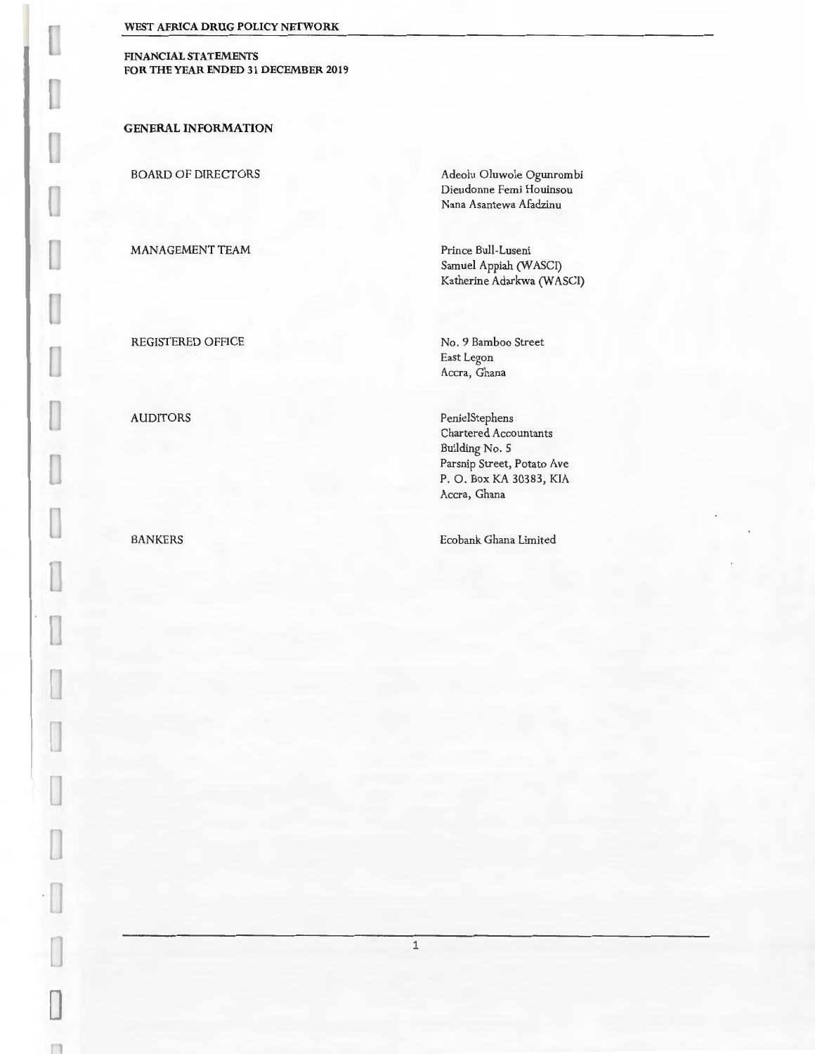**FINANCIAL STATEMENTS**  FOR THE YEAR ENDED 31 DECEMBER 2019

**GENERAL INFORMATION** 

u

П IJ

П u

U

L

I

I

 $\cup$ 

П

BOARD OF DIRECTORS

MANAGEMENT TEAM

Adeolu Oluwole Ogunrombi Dieudonne Femi Houinsou Nana Asantewa Afadzinu

Prince Bull-Luseni Samuel Appiah (WASCI) Katherine Adarkwa (WASCI)

REGISTERED OFFICE

AUDITORS

BANKERS

No. 9 Bamboo Street East Legon Accra, Ghana

Penie!Stephens Chartered Accountants Building No. 5 Parsnip Street, Potato Ave P. O. Box KA 30383, KIA Accra, Ghana

Ecobank Ghana Limited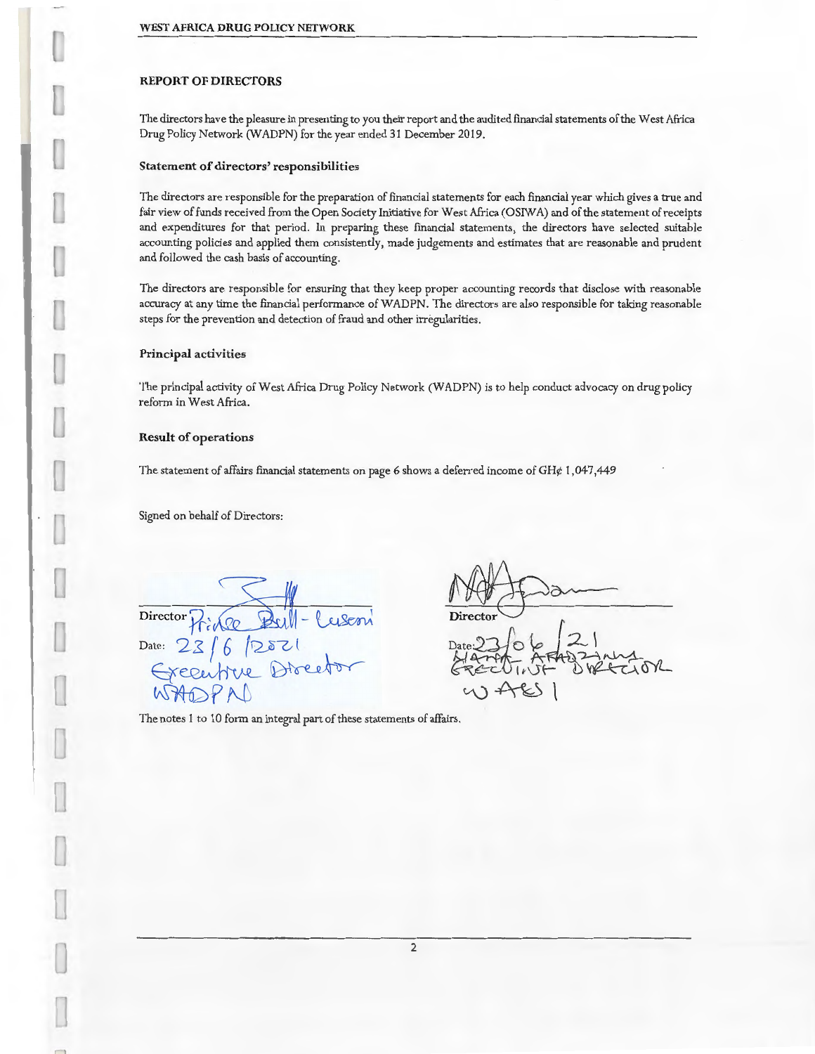## **REPORT OF DIRECTORS**

The directors have the pleasure in presenting to you their report and the audited financial statements of the West Africa Drug Policy Network (WADPN) for the year ended 31 December 2019.

#### **Statement of directors' responsibilities**

The directors are responsible for the preparation of financial statements for each financial year which gives a true and fair view of funds received from the Open Society Initiative for West Africa (OSIWA) and of the statement of receipts and expenditures for that period. In preparing these financial statements, the directors have selected suitable accounting policies and applied them consistently, made judgements and estimates that are reasonable and prudent and followed the cash basis of accounting.

The directors are responsible for ensuring that they keep proper accounting records that disclose with reasonable accuracy at any time the financial performance of WADPN. The directors are also responsible for taking reasonable steps for the prevention and detection of fraud and other irregularities.

## **Principal activities**

The principal activity of West Africa Drug Policy Network (WADPN) is to help conduct advocacy on drug policy reform in West Africa.

2

#### **Result of operations**

The statement of affairs fmancial statements on page 6 shows a deferred income of GH¢ 1,047,449

Signed on behalf of Directors:

**Director** j1-;~-~ Date: 23 / E:r~ WHOY ~ftJJ

~~ Director<br>Date:27 0 % 21<br>Haren & Frag zanna<br>GREEL !!!F & WATIOR  $V\rightarrow V\rightarrow V$ 

The notes 1 to 10 form an integral part of these statements of affairs.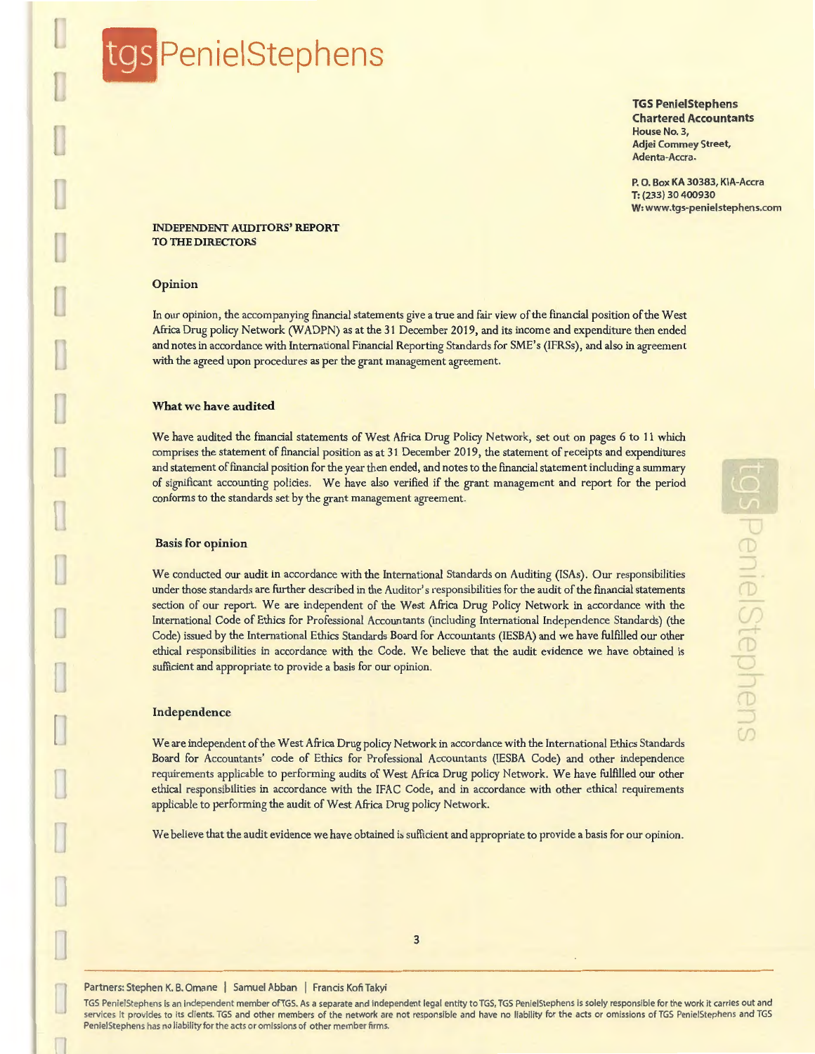# gs PenielStephens

**TGS PenielStephens Chartered Accountants**  House No.3, Adjei Commey Street, Adenta-Accra.

P. 0. Box KA 30383, KIA-Accra **T:** (233) 30 400930 W: www.tgs-penielstephens.com

## INDEPENDENT AUDITORS' REPORT TO THE DIRECTORS

## Opinion

In our opinion, the accompanying financial statements give a true and fair view of the financial position of the West Africa Drug policy Network (WADPN) as at the 31 December 2019, and its income and expenditure then ended and notes in accordance with International Financial Reporting Standards for SME' s (IFRSs), and also in agreement with the agreed upon procedures as per the grant management agreement.

## What we have audited

We have audited the financial statements of West Africa Drug Policy Network, set out on pages 6 to 11 which comprises the statement of fmancial position as at 31 December 2019, the statement of receipts and expenditures and statement of fmancial position for the year then ended, and notes to the financial statement including a summary of significant accounting policies. We have also verified if the grant management and report for the period conforms to the standards set by the grant management agreement.

#### Basis for opinion

We conducted our audit in accordance with the International Standards on Auditing (ISAs). Our responsibilities under those standards are further described in the Auditor's responsibilities for the audit of the fmancial statements section of our report. We are independent of the West Africa Drug Policy Network in accordance with the International Code of Ethics for Professional Accountants (including International Independence Standards) (the Code) issued by the International Ethics Standards Board for Accountants (IESBA) and we have fulfilled our other ethical responsibilities in accordance with the Code. We believe that the audit evidence we have obtained is sufficient and appropriate to provide a basis for our opinion.

## Independence

We are independent of the West Africa Drug policy Network in accordance with the International Ethics Standards Board for Accountants' code of Ethics for Professional Accountants (IESBA Code) and other independence requirements applicable to performing audits of West Africa Drug policy Network. We have fulfilled our other ethical responsibilities in accordance with the IFAC Code, and in accordance with other ethical requirements applicable to performing the audit of West Africa Drug policy Network.

We believe that the audit evidence we have obtained is sufficient and appropriate to provide a basis for our opinion.

3

TGS PenielStephens is an independent member of TGS. As a separate and independent legal entity to TGS, TGS PenielStephens is solely responsible for the work it carries out and services it provides to its clients. TGS and other members of the network are not responsible and have no liability for the acts or omissions of TGS PenielStephens and TGS PenielStephens has no liability for the acts or omissions of other member firms.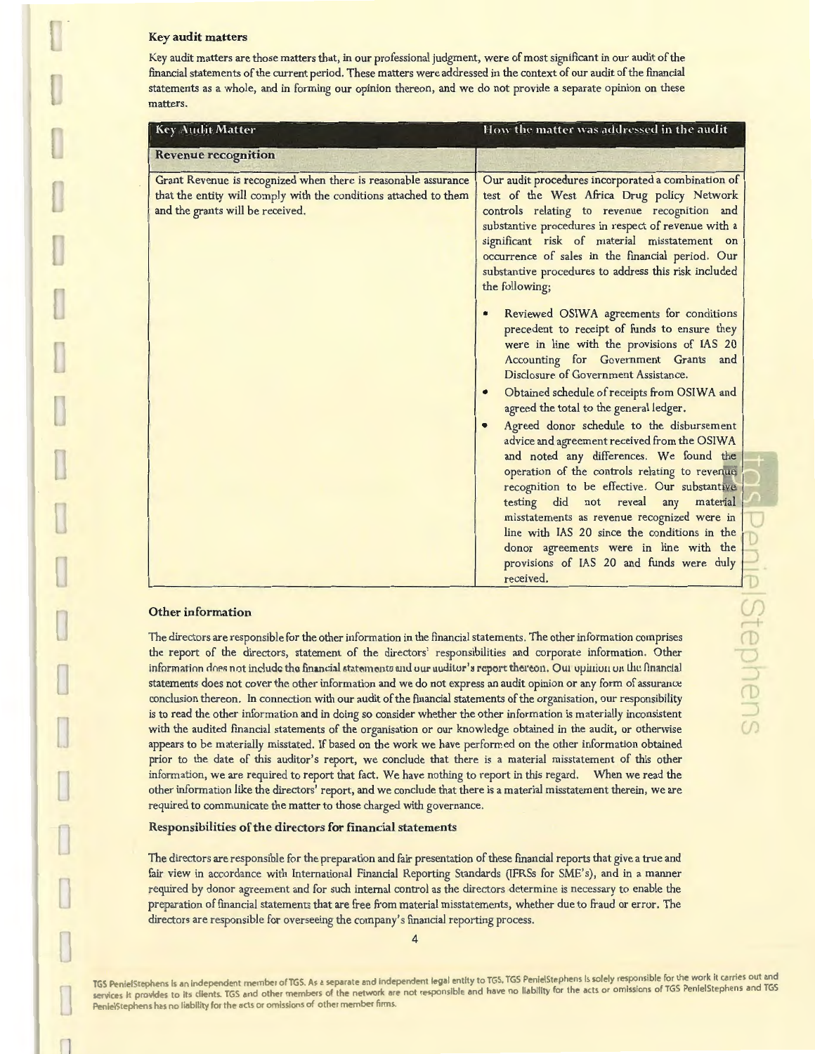#### Key audit matters

Key audit matters are those matters that, in our professional judgment, were of most significant in our audit of the financial statements of the current period. These matters were addressed in the context of our audit of the financial statements as a whole, and in forming our opinion thereon, and we do not provide a separate opinion on these matters.

| <b>Key Audit Matter</b>                                                                                                                                                                                       | How the matter was addressed in the audit                                                                                                                                                                                                                                                                                                                                                                                                                                                                                                                                                                                                                                                                                                                                                                                                                                                                                                                                                                                                                                                                                                                                                           |  |
|---------------------------------------------------------------------------------------------------------------------------------------------------------------------------------------------------------------|-----------------------------------------------------------------------------------------------------------------------------------------------------------------------------------------------------------------------------------------------------------------------------------------------------------------------------------------------------------------------------------------------------------------------------------------------------------------------------------------------------------------------------------------------------------------------------------------------------------------------------------------------------------------------------------------------------------------------------------------------------------------------------------------------------------------------------------------------------------------------------------------------------------------------------------------------------------------------------------------------------------------------------------------------------------------------------------------------------------------------------------------------------------------------------------------------------|--|
| <b>Revenue recognition</b>                                                                                                                                                                                    |                                                                                                                                                                                                                                                                                                                                                                                                                                                                                                                                                                                                                                                                                                                                                                                                                                                                                                                                                                                                                                                                                                                                                                                                     |  |
| Grant Revenue is recognized when there is reasonable assurance<br>that the entity will comply with the conditions attached to them<br>and the grants will be received.<br>$\bullet$<br>$\bullet$<br>$\bullet$ | Our audit procedures incorporated a combination of<br>test of the West Africa Drug policy Network<br>controls relating to revenue recognition and<br>substantive procedures in respect of revenue with a<br>significant risk of material misstatement on<br>occurrence of sales in the financial period. Our<br>substantive procedures to address this risk included<br>the following;<br>Reviewed OSIWA agreements for conditions<br>precedent to receipt of funds to ensure they<br>were in line with the provisions of IAS 20<br>Accounting for Government Grants and<br>Disclosure of Government Assistance.<br>Obtained schedule of receipts from OSIWA and<br>agreed the total to the general ledger.<br>Agreed donor schedule to the disbursement<br>advice and agreement received from the OSIWA<br>and noted any differences. We found the<br>operation of the controls relating to revenue<br>recognition to be effective. Our substantive<br>testing did not reveal<br>material<br>any<br>misstatements as revenue recognized were in<br>line with IAS 20 since the conditions in the<br>donor agreements were in line with the<br>provisions of IAS 20 and funds were duly<br>received. |  |

#### Other information

 $\Box$ 

The directors are responsible for the other information in the financial statements. The other information comprises the report of the directors, statement of the directors' responsibilities and corporate information. Other information does not include the financial statements and our auditor's report thereon. Our opinion on the financial statements does not cover the other information and we do not express an audit opinion or any form of assurance conclusion thereon. In connection with our audit of the financial statements of the organisation, our responsibility is to read the other information and in doing so consider whether the other information is materially inconsistent with the audited financial statements of the organisation or our knowledge obtained in the audit, or otherwise appears to be materially misstated. If based on the work we have performed on the other information obtained prior to the date of this auditor's report, we conclude that there is a material misstatement of this other information, we are required to report that fact. We have nothing to report in this regard. When we read the other information like the directors' report, and we conclude that there is a material misstatement therein, we are required to communicate the matter to those charged with governance.

## Responsibilities of the directors for financial statements

The directors are responsible for the preparation and fair presentation of these financial reports that give a true and fair view in accordance with International Financial Reporting Standards (IFRSs for SME's), and in a manner required by donor agreement and for such internal control as the directors determine is necessary to enable the preparation of financial statements that are free from material misstatements, whether due to fraud or error. The directors are responsible for overseeing the company's fmancial reporting process.

TGS PenielStephens is an independent member of TGS. As a separate and independent legal entity to TGS, TGS PenielStephens is solely responsible for the work it carries out and services it provides to its clients. TGS and other members of the network are not responsible and have no liability for the acts or omissions of TGS PenielStephens and TGS PenielStephens has no liability for the acts or omissions of other member firms.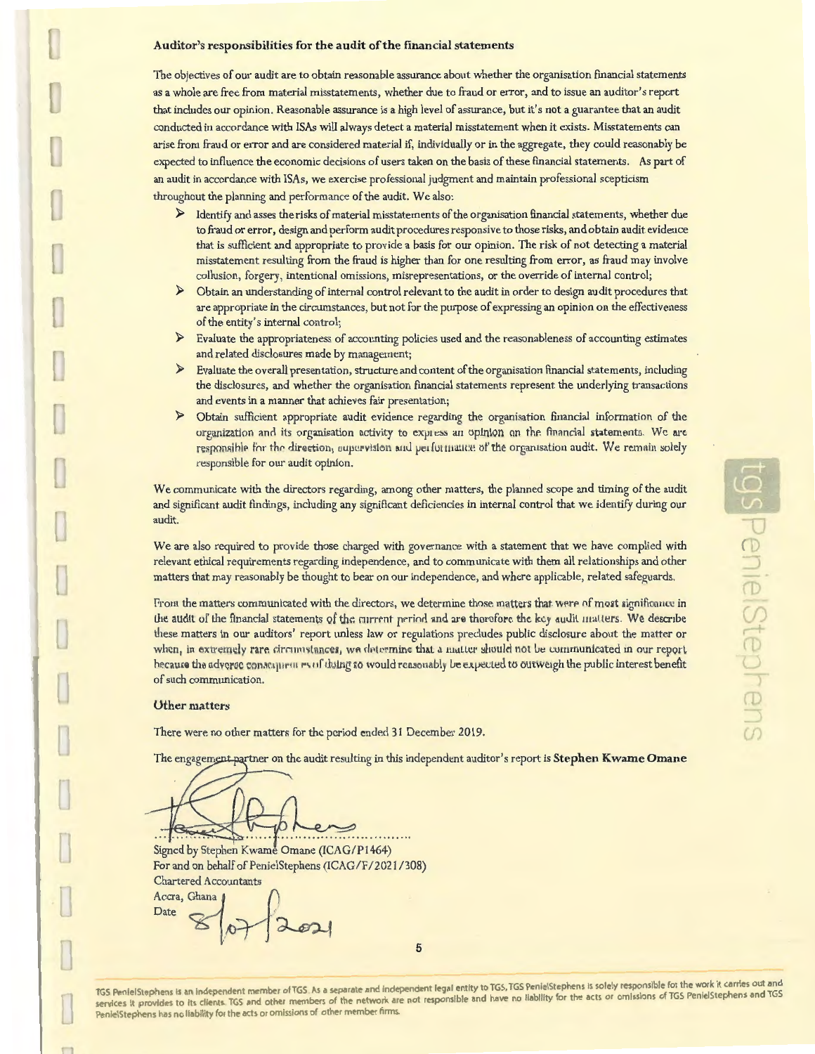## Auditor's responsibilities for the audit of the financial statements

The objectives of our audit are to obtain reasonable assurance about whether the organisation financial statements as a whole are free from material misstatements, whether due to fraud or error, and to issue an auditor's report that includes our opinion. Reasonable assurance is a high level of assurance, but it's not a guarantee that an audit conducted in accordance with ISAs will always detect a material misstatement when it exists. Misstatements can arise from fraud or error and are considered material if, individually or in the aggregate, they could reasonably be expected to influence the economic decisions of users taken on the basis of these fmancial statements. As part of an audit in accordance with ISAs, we exercise professional judgment and maintain professional scepticism throughout the planning and performance of the audit. We also:

- $\triangleright$  Identify and asses the risks of material misstatements of the organisation financial statements, whether due to fraud or error, design and perform audit procedures responsive to those risks, and obtain audit evidence that is sufficient and appropriate to provide a basis for our opinion. The risk of not detecting a material misstatement resulting from the fraud is higher than for one resulting from error, as fraud may involve collusion, forgery, intentional omissions, misrepresentations, or the override of internal control;
- > Obtain an understanding of internal control relevant to the audit in order to design audit procedures that are appropriate in the circumstances, but not for the purpose of expressing an opinion on the effectiveness of the entity's internal control;
- $\blacktriangleright$ Evaluate the appropriateness of accounting policies used and the reasonableness of accounting estimates and related disclosures made by management;
- $\blacktriangleright$ Evaluate the overall presentation, structure and content of the organisation financial statements, including the disclosures, and whether the organisation financial statements represent the underlying transactions and events in a manner that achieves fair presentation;
- $\blacktriangleright$ Obtain sufficient appropriate audit evidence regarding the organisation financial information of the organization and its organisation activity to express an opinion on the financial statements. We are responsible for the direction, supervision and performance of the organisation audit. We remain solely responsible for our audit opinion.

We communicate with the directors regarding, among other matters, the planned scope and timing of the audit and significant audit fmdings, including any significant deficiencies in internal control that we identify during our audit.

We are also required to provide those charged with governance with a statement that we have complied with relevant ethical requirements regarding independence, and to communicate with them all relationships and other matters that may reasonably be thought to bear on our independence, and where applicable, related safeguards.

From the matters communicated with the directors, we determine those matters that were of most significance in the audit of the financial statements of the current period and are thoroforc the key audit matters. We describe these matters in our auditors' report unless law or regulations precludes public disclosure ahout the matter or when, in extremely rare circumstances, we determine that a matter should not be communicated in our report hecause the adverge consequeur es of doing so would reasonably be expected to outweigh the public interest benefit of such communication.

#### **Other matters**

There were no other matters for the period ended 31 December 2019.

The engagement partner on the audit resulting in this independent auditor's report is Stephen Kwame Omane

Signed by Stephen Kwame Omane (ICAG/P1464) For and on behalf of PenielStephens (ICAG/F/2021/308)<br>
Chartered Accountants<br>
Accra, Ghana 0 Chartered Accountants

Accra, Ghana<br>Date

~ ~

TGS PenielStephens is an independent member of TGS. As a separate and independent legal entity to TGS, TGS PenielStephens is solely responsible for the work it carries out and services it provides to its clients. TGS and other members of the network are not responsible and have no liability for the acts or omissions of TGS PenielStephens and TGS PenielStephens has no liability for the acts or omissions of other member firms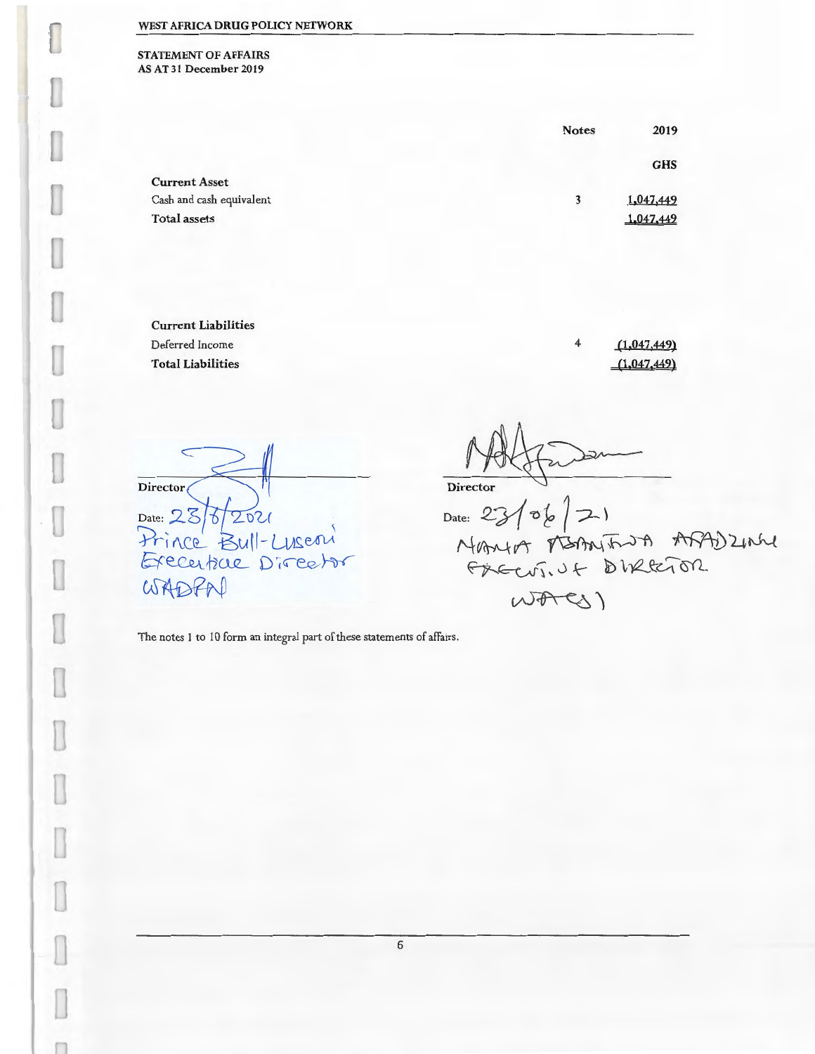STATEMENT OF AFFAIRS AS AT 31 December 2019

|                          | <b>Notes</b> | 2019       |
|--------------------------|--------------|------------|
|                          |              | <b>GHS</b> |
| <b>Current Asset</b>     |              |            |
| Cash and cash equivalent | 3            | 1,047,449  |
| <b>Total assets</b>      |              | 1,047,449  |
|                          |              |            |

Current Liabilities Deferred Income Total Liabilities

 $(1,047,449)$  $(1,047,449)$ 

Director ( Date: 28/6/2021 Hrince Bull-Luseni WADPN <sup>~</sup>

4

Date:  $D$ ate:  $23/56$   $\sim$ FREEVIN & BIRRETOR  $WAC(1)$ 

The notes I to 10 form an integral part of these statements of affairs.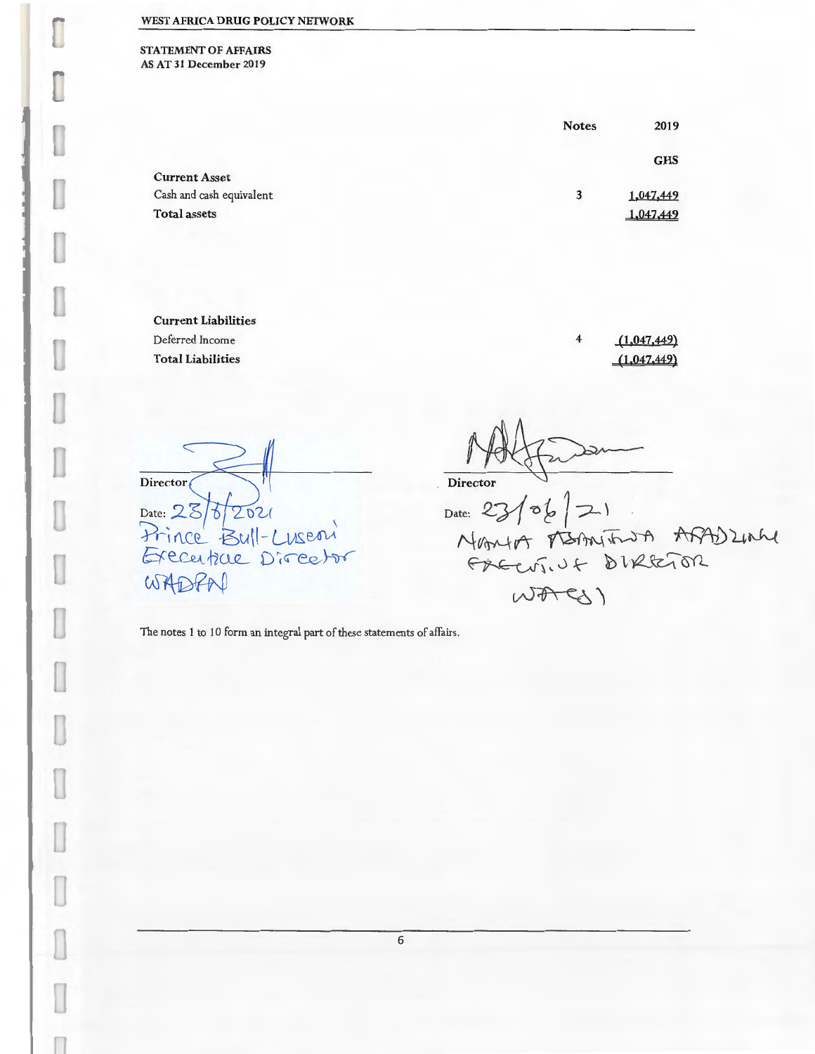STATEMENT OF AFFAIRS ASAT31 December2019

I

U

I

I

I

I

I

I

I

l

|                          | <b>Notes</b> | 2019       |
|--------------------------|--------------|------------|
|                          |              | <b>GHS</b> |
| <b>Current Asset</b>     |              |            |
| Cash and cash equivalent | 3            | 1,047,449  |
| <b>Total assets</b>      |              | 1,047,449  |
|                          |              |            |

Current Liabilities Deferred Income Total Liabilities

4  $(1,047,449)$  $(1,047,449)$ 

Director Date: 28/6/2021 Frince Bull-Luseni WADPAD

Date:  $23/06$   $\sqrt{21}$ Director  $\mathbf{v}$   $\mathbf{v}$   $\mathbf{u}$   $\mathbf{v}$   $\mathbf{v}$   $\mathbf{v}$   $\mathbf{v}$   $\mathbf{v}$   $\mathbf{v}$   $\mathbf{v}$ ~~\0~ }01,R,~~  $WAPC3)$ 

The notes 1 to 10 form an integral part of these statements of affairs.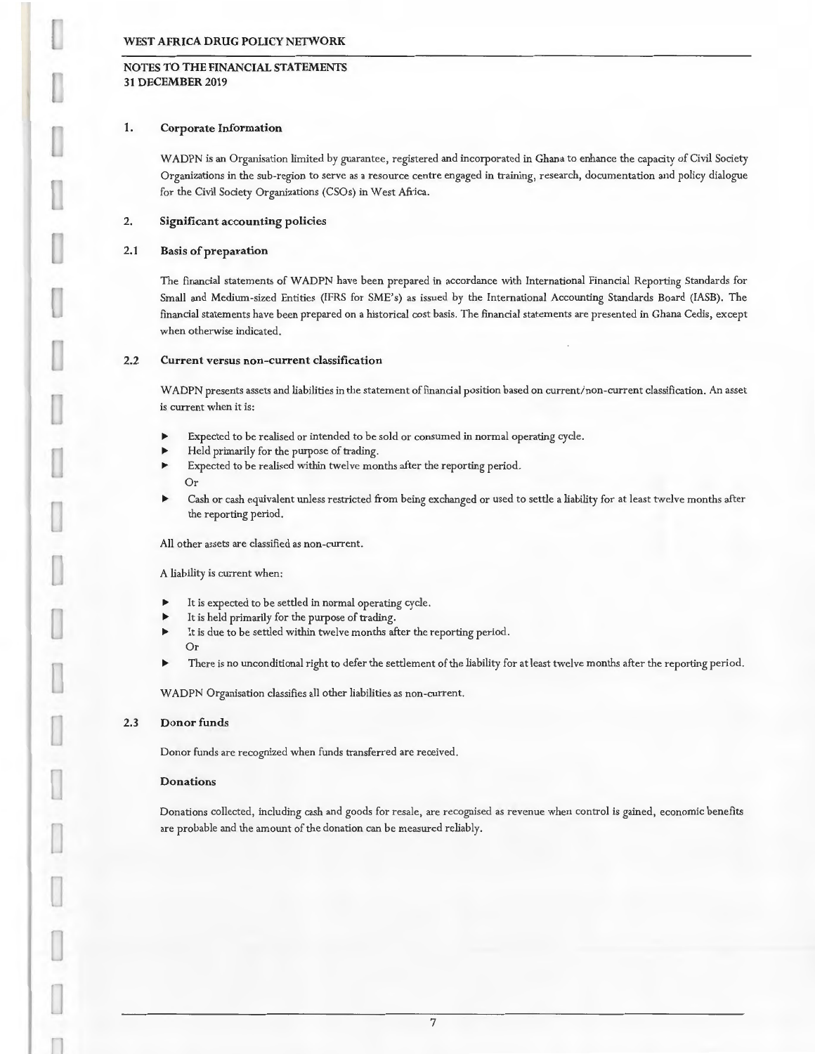# NOTES TO THE FINANCIAL STATEMENTS 31 DECEMBER 2019

## 1. Corporate Information

W ADPN is an Organisation limited by guarantee, registered and incorporated in Ghana to enhance the capacity of Civil Society Organizations in the sub-region to serve as a resource centre engaged in training, research, documentation and policy dialogue for the Civil Society Organizations (CSOs) in West Africa.

## 2. Significant accounting policies

## 2.1 Basis of preparation

The financial statements of WADPN have been prepared in accordance with International Financial Reporting Standards for Small and Medium-sized Entities (IFRS for SME's) as issued by the International Accounting Standards Board (!ASE). The financial statements have been prepared on a historical cost basis. The financial statements are presented in Ghana Cedis, except when otherwise indicated.

## 2.2 Current versus non-current classification

WADPN presents assets and liabilities in the statement of financial position based on current/non-current classification. An asset is current when it is:

- Expected to be realised or intended to be sold or consumed in normal operating cycle.
- Held primarily for the purpose of trading.
- Expected to be realised within twelve months after the reporting period. Or
- Cash or cash equivalent unless restricted from being exchanged or used to settle a liability for at least twelve months after the reporting period.

All other assets are classified as non-current.

A liability is current when:

- It is expected to be settled in normal operating cycle.
- It is held primarily for the purpose of trading.
- It is due to be settled within twelve months after the reporting period. Or
- There is no unconditional right to defer the settlement of the liability for at least twelve months after the reporting period.

W ADPN Organisation classifies all other liabilities as non-current.

#### 2.3 Donor funds

Donor funds are recognized when funds transferred are received.

#### Donations

Donations collected, including cash and goods for resale, are recognised as revenue when control is gained, economic benefits are probable and the amount of the donation can be measured reliably.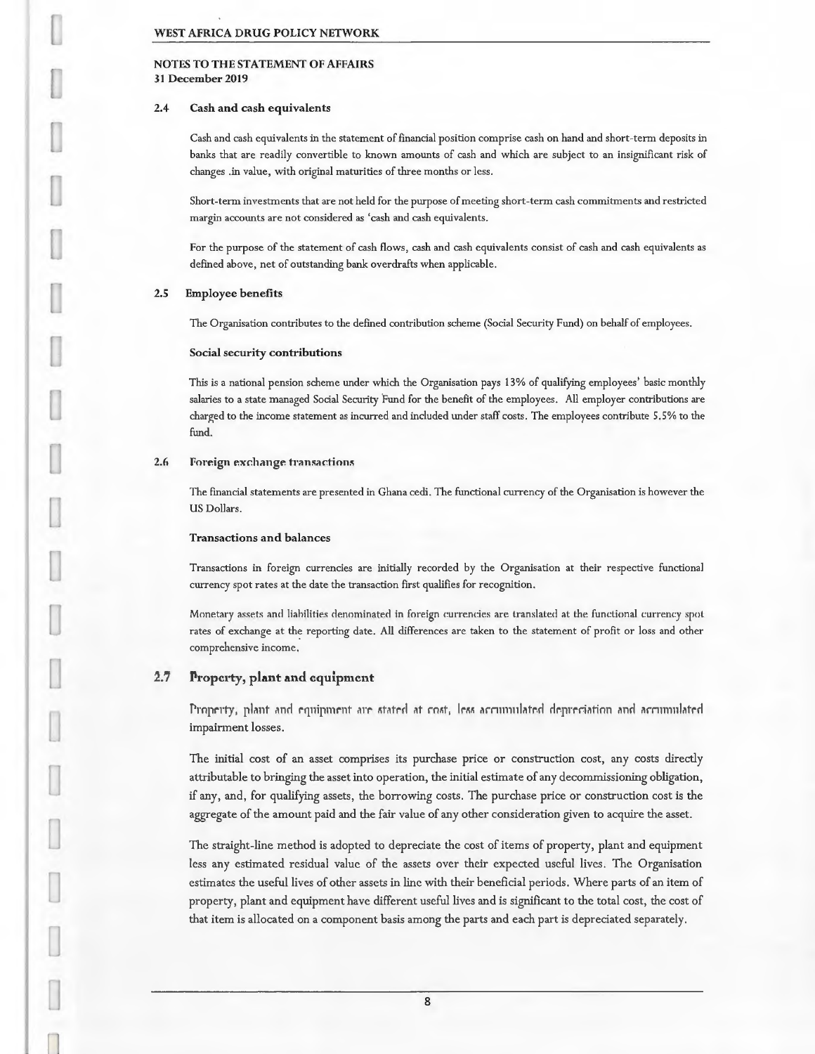NOTES TO THE STATEMENT OF AFFAIRS 31December2019

#### 2.4 Cash and cash equivalents

Cash and cash equivalents in the statement of financial position comprise cash on hand and short-term deposits in banks that are readily convertible to known amounts of cash and which are subject to an insignificant risk of changes .in value, with original maturities of three months or less.

Short-term investments that are not held for the purpose of meeting short-term cash commitments and restricted margin accounts are not considered as 'cash and cash equivalents.

For the purpose of the statement of cash flows, cash and cash equivalents consist of cash and cash equivalents as defined above, net of outstanding bank overdrafts when applicable.

## 2.5 Employee benefits

The Organisation contributes to the defined contribution scheme (Social Security Fund) on behalf of employees.

## Social security contributions

This is a national pension scheme under which the Organisation pays 13% of qualifying employees' basic monthly salaries to a state managed Social Security Fund for the benefit of the employees. All employer contributions are charged to the income statement as incurred and included under staff costs. The employees contribute 5.5% to the fund.

#### 2.6 Foreign exchange transactions

The financial statements are presented in Ghana cedi. The functional currency of the Organisation is however the US Dollars.

## Transactions and balances

Transactions in foreign currencies are initially recorded by the Organisation at their respective functional currency spot rates at the date the transaction first qualifies for recognition.

Monetary assets and liabilities denominated in foreign currencies are translated at the functional currency spot rates of exchange at the reporting date. All differences are taken to the statement of profit or loss and other comprehensive income.

## 1..7 liropcrty, **plant and** equipment

Property, plant and equipment are stated at cost, Jess accumulated depreciation and accumulated impairment losses.

The initial cost of an asset comprises its purchase price or construction cost, any costs directly attributable to bringing the asset into operation, the initial estimate of any decommissioning obligation, if any, and, for qualifying assets, the borrowing costs. The purchase price or construction cost is the aggregate of the amount paid and the fair value of any other consideration given to acquire the asset.

The straight-line method is adopted to depreciate the cost of items of property, plant and equipment less any estimated residual value of the assets over their expected useful lives. The Organisation estimates the useful lives of other assets in line with their beneficial periods. Where parts of an item of property, plant and equipment have different useful lives and is significant to the total cost, the cost of that item is allocated on a component basis among the parts and each part is depreciated separately.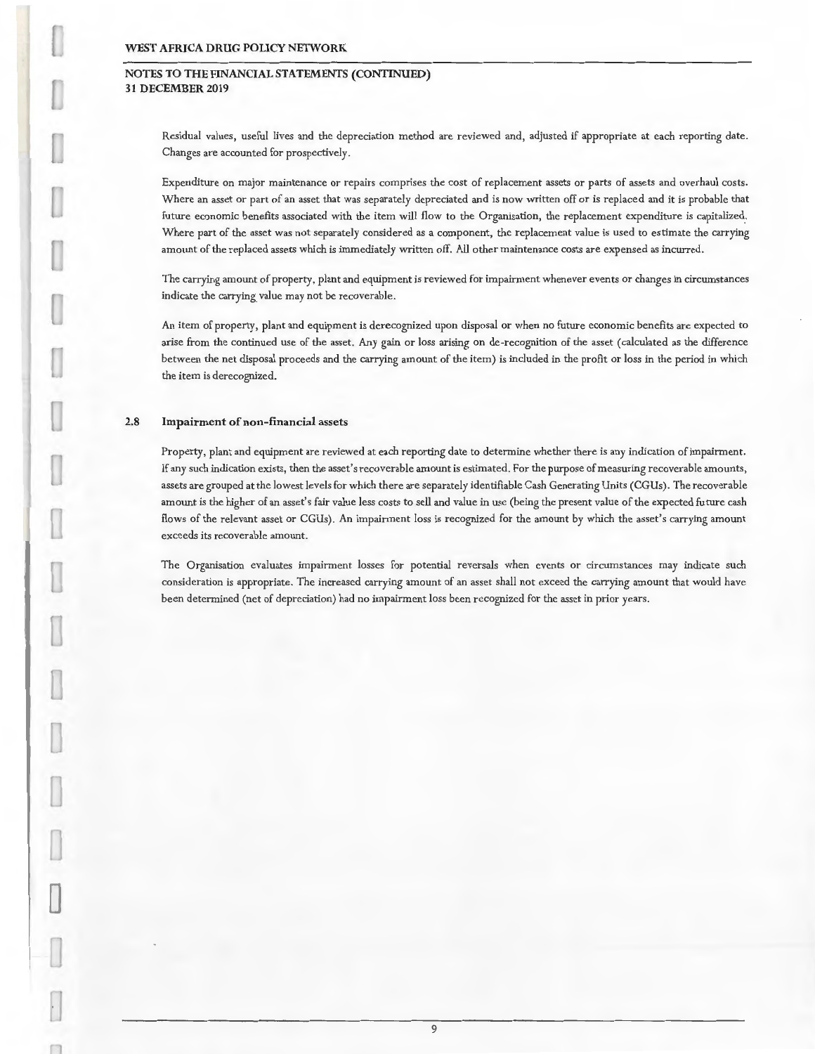## **NOTES TO THE FINANCIAL STATEMENTS (CONTINUED) 31 DECEMBER 2019**

Residual values, useful lives and the depreciation method are reviewed and, adjusted if appropriate at each reporting date. Changes are accounted for prospectively.

Expenditure on major maintenance or repairs comprises the cost of replacement assets or parts of assets and overhaul costs. Where an asset or part of an asset that was separately depreciated and is now written off or is replaced and it is probable that future economic benefits associated with the item will flow to the Organisation, the replacement expenditure is capitalized. Where part of the asset was not separately considered as a component, the replacement value is used to estimate the carrying amount of the replaced assets which is immediately written off. All other maintenance costs are expensed as incurred.

The carrying amount of property, plant and equipment is reviewed for impairment whenever events or changes in circumstances indicate the carrying value may not be recoverable.

An item of property , plant and equipment is derecognized upon disposal or when no future economic benefits are expected to arise from the continued use of the asset . Any gain or loss arising on de -recognition of the asset (calculated as the difference between the net disposal proceeds and the carrying amount of the item) is included in the profit or loss in the period in which the item is derecognized.

## 2.8 **Impairment of non-financial** assets

Property, plant and equipment are reviewed at each reporting date to determine whether there is any indication of impairment. If any such indication exists, then the asset 's r ecoverable amount is estimated. For the purpose of measuring recoverable amounts, assets are grouped at the lowest levels for which there are separately identifiable Cash Generating Units (CG Us). The recoverable amount is the higher of an asset's fair value less costs to sell and value in use (being the present value of the expected future cash flows of the relevant asset or CGUs). An impairment loss is recognized for the amount by which the asset's carrying amount exceeds its recoverable amount.

The Organisation evaluates impairment losses for potential reversals when events or circumstances may indicate such consideration is appropriate. The increased carrying amount of an asset shall not exceed the carrying amount that would have been determined (net of depreciation) had no impairment loss been recognized for the asset in prior years.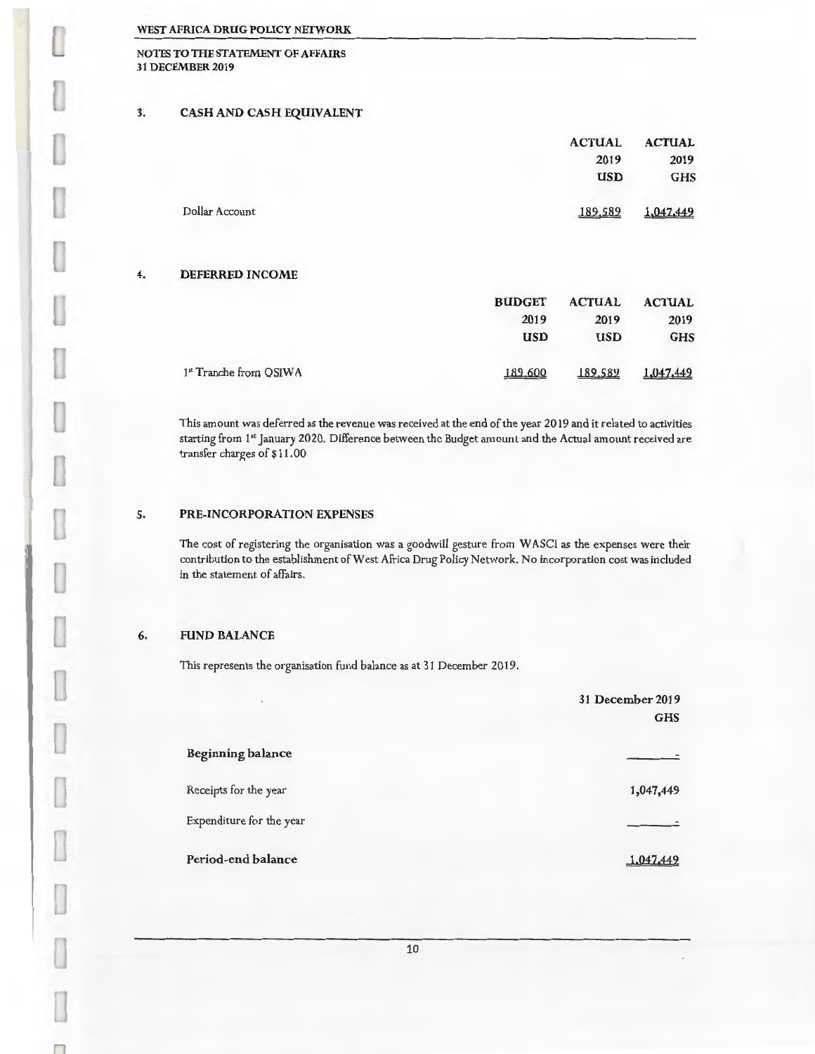NOTES TO THE STATEMENT OF AFFAIRS 31 DECEMBER 2019

# 3. CASH AND CASH EQUIVALENT

|                | <b>ACTUAL</b> | <b>ACTUAL</b> |
|----------------|---------------|---------------|
|                | 2019          | 2019          |
|                | <b>USD</b>    | <b>GHS</b>    |
| Dollar Account | 189,589       | 1,047,449     |

## 4. DEFERRED INCOME

|                        | <b>BUDGET</b> | <b>ACTUAL</b> | <b>ACTUAL</b> |
|------------------------|---------------|---------------|---------------|
|                        | 2019          | 2019          | 2019          |
|                        | <b>USD</b>    | <b>USD</b>    | <b>GHS</b>    |
| 1st Tranche from OSIWA | 189,600       | 189.589       | 1,047,449     |

This amount was deferred as the revenue was received at the end of the year 2019 and it related to activities starting from 1" January 2020. Difference between the Budget amounl and the Actual amount received are transfer charges of \$11.00

## 5. PRE-INCORPORATION EXPENSES

The cost of registering the organisation was a goodwill gesture from W ASCI as the expenses were their contribution to the establishment of West Africa Drug Policy Network. No incorporation cost was included in the statement of affairs.

## 6. FUND BALANCE

This represents the organisation fund balance as at 31 December 2019.

| $\sim$                   | 31 December 2019<br><b>GHS</b> |
|--------------------------|--------------------------------|
| <b>Beginning balance</b> |                                |
| Receipts for the year    | 1,047,449                      |
| Expenditure for the year |                                |
| Period-end balance       | 1.047.449                      |